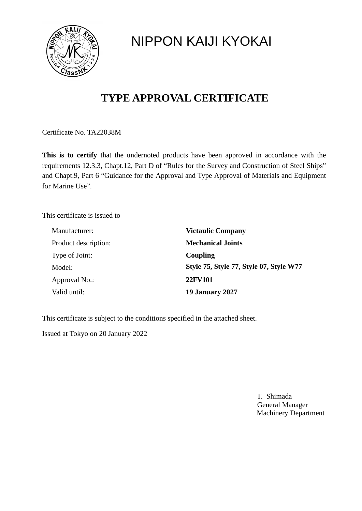

# NIPPON KAIJI KYOKAI

# **TYPE APPROVAL CERTIFICATE**

Certificate No. TA22038M

**This is to certify** that the undernoted products have been approved in accordance with the requirements 12.3.3, Chapt.12, Part D of "Rules for the Survey and Construction of Steel Ships" and Chapt.9, Part 6 "Guidance for the Approval and Type Approval of Materials and Equipment for Marine Use".

This certificate is issued to

| Manufacturer:        | <b>Victaulic Company</b>                |
|----------------------|-----------------------------------------|
| Product description: | <b>Mechanical Joints</b>                |
| Type of Joint:       | Coupling                                |
| Model:               | Style 75, Style 77, Style 07, Style W77 |
| Approval No.:        | <b>22FV101</b>                          |
| Valid until:         | <b>19 January 2027</b>                  |

This certificate is subject to the conditions specified in the attached sheet.

Issued at Tokyo on 20 January 2022

T. Shimada General Manager Machinery Department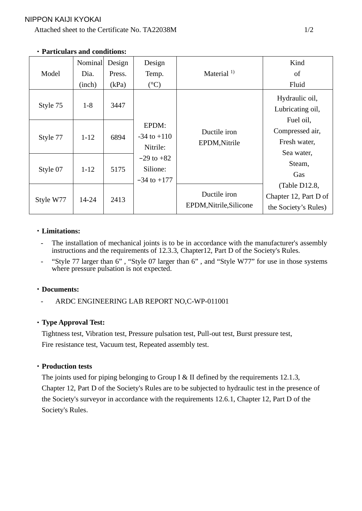# Attached sheet to the Certificate No. TA22038M 1/2

| Model     | Nominal  | Design | Design                                               |                                                                | Kind                                                                        |
|-----------|----------|--------|------------------------------------------------------|----------------------------------------------------------------|-----------------------------------------------------------------------------|
|           | Dia.     | Press. | Temp.                                                | Material $^{1)}$                                               | of                                                                          |
|           | (inch)   | (kPa)  | $({}^{\circ}C)$                                      |                                                                | Fluid                                                                       |
| Style 75  | $1-8$    | 3447   |                                                      | EPDM:<br>Ductile iron<br>EPDM, Nitrile<br>Nitrile:<br>Silione: | Hydraulic oil,<br>Lubricating oil,                                          |
| Style 77  | $1 - 12$ | 6894   | $-34$ to $+110$<br>$-29$ to $+82$<br>$-34$ to $+177$ |                                                                | Fuel oil,<br>Compressed air,<br>Fresh water,<br>Sea water,<br>Steam,<br>Gas |
| Style 07  | $1 - 12$ | 5175   |                                                      |                                                                |                                                                             |
| Style W77 | 14-24    | 2413   |                                                      | Ductile iron<br>EPDM, Nitrile, Silicone                        | (Table D12.8,<br>Chapter 12, Part D of<br>the Society's Rules)              |

# ・**Particulars and conditions:**

### ・**Limitations:**

- The installation of mechanical joints is to be in accordance with the manufacturer's assembly instructions and the requirements of 12.3.3, Chapter12, Part D of the Society's Rules.
- "Style 77 larger than 6" , "Style 07 larger than 6" , and "Style W77" for use in those systems where pressure pulsation is not expected.

### ・**Documents:**

ARDC ENGINEERING LAB REPORT NO,C-WP-011001

# ・**Type Approval Test:**

Tightness test, Vibration test, Pressure pulsation test, Pull-out test, Burst pressure test, Fire resistance test, Vacuum test, Repeated assembly test.

### ・**Production tests**

The joints used for piping belonging to Group I & II defined by the requirements 12.1.3, Chapter 12, Part D of the Society's Rules are to be subjected to hydraulic test in the presence of the Society's surveyor in accordance with the requirements 12.6.1, Chapter 12, Part D of the Society's Rules.